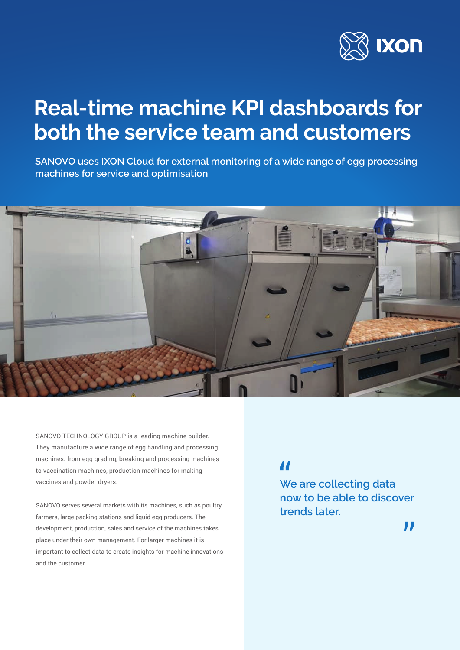

## **Real-time machine KPI dashboards for both the service team and customers**

**SANOVO uses IXON Cloud for external monitoring of a wide range of egg processing machines for service and optimisation**



SANOVO TECHNOLOGY GROUP is a leading machine builder. They manufacture a wide range of egg handling and processing machines: from egg grading, breaking and processing machines to vaccination machines, production machines for making vaccines and powder dryers.

SANOVO serves several markets with its machines, such as poultry farmers, large packing stations and liquid egg producers. The development, production, sales and service of the machines takes place under their own management. For larger machines it is important to collect data to create insights for machine innovations and the customer.

## $\overline{\mathbf{M}}$

**We are collecting data now to be able to discover trends later.**

 $\blacksquare$